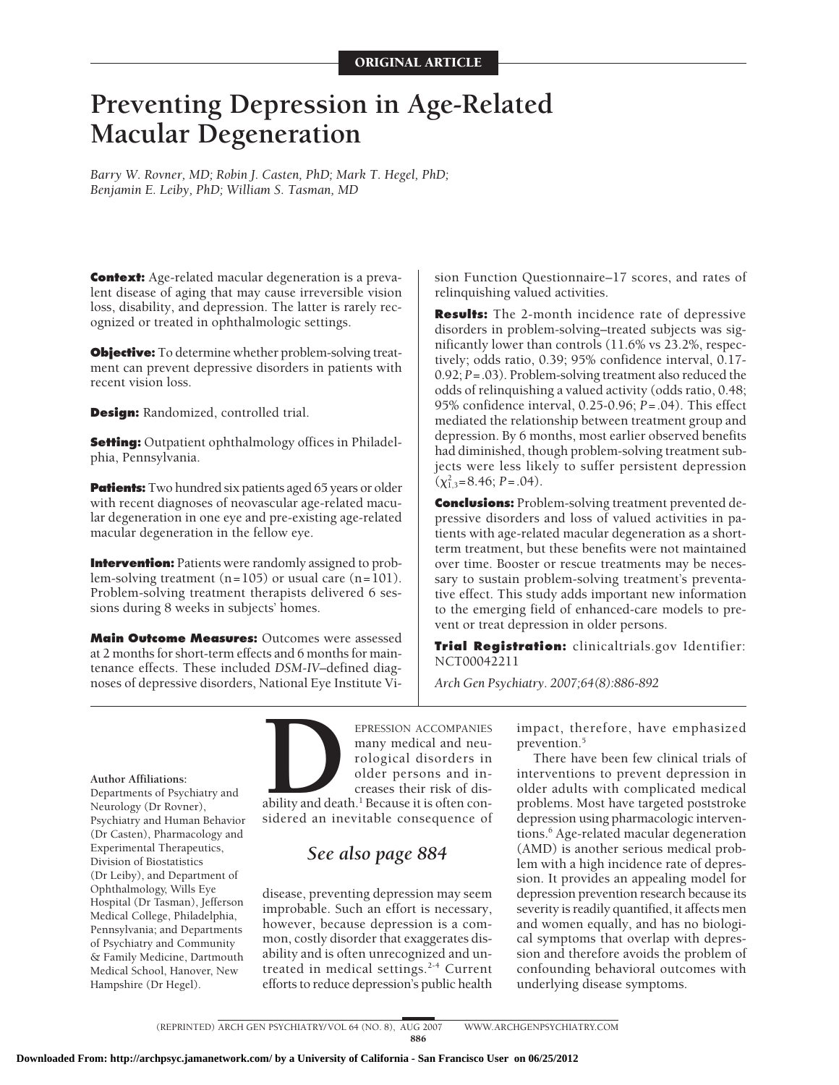# **Preventing Depression in Age-Related Macular Degeneration**

*Barry W. Rovner, MD; Robin J. Casten, PhD; Mark T. Hegel, PhD; Benjamin E. Leiby, PhD; William S. Tasman, MD*

**Context:** Age-related macular degeneration is a prevalent disease of aging that may cause irreversible vision loss, disability, and depression. The latter is rarely recognized or treated in ophthalmologic settings.

**Objective:** To determine whether problem-solving treatment can prevent depressive disorders in patients with recent vision loss.

**Design:** Randomized, controlled trial.

**Setting:** Outpatient ophthalmology offices in Philadelphia, Pennsylvania.

**Patients:** Two hundred six patients aged 65 years or older with recent diagnoses of neovascular age-related macular degeneration in one eye and pre-existing age-related macular degeneration in the fellow eye.

**Intervention:** Patients were randomly assigned to problem-solving treatment  $(n=105)$  or usual care  $(n=101)$ . Problem-solving treatment therapists delivered 6 sessions during 8 weeks in subjects' homes.

**Main Outcome Measures:** Outcomes were assessed at 2 months for short-term effects and 6 months for maintenance effects. These included *DSM-IV*–defined diagnoses of depressive disorders, National Eye Institute Vision Function Questionnaire–17 scores, and rates of relinquishing valued activities.

**Results:** The 2-month incidence rate of depressive disorders in problem-solving–treated subjects was significantly lower than controls (11.6% vs 23.2%, respectively; odds ratio, 0.39; 95% confidence interval, 0.17- 0.92; *P*=.03). Problem-solving treatment also reduced the odds of relinquishing a valued activity (odds ratio, 0.48; 95% confidence interval, 0.25-0.96; *P*=.04). This effect mediated the relationship between treatment group and depression. By 6 months, most earlier observed benefits had diminished, though problem-solving treatment subjects were less likely to suffer persistent depression  $(\chi^2_{1,3}=8.46; P=.04).$ 

**Conclusions:** Problem-solving treatment prevented depressive disorders and loss of valued activities in patients with age-related macular degeneration as a shortterm treatment, but these benefits were not maintained over time. Booster or rescue treatments may be necessary to sustain problem-solving treatment's preventative effect. This study adds important new information to the emerging field of enhanced-care models to prevent or treat depression in older persons.

**Trial Registration:** clinicaltrials.gov Identifier: NCT00042211

*Arch Gen Psychiatry. 2007;64(8):886-892*

#### **Author Affiliations:**

Departments of Psychiatry and Neurology (Dr Rovner), Psychiatry and Human Behavior (Dr Casten), Pharmacology and Experimental Therapeutics, Division of Biostatistics (Dr Leiby), and Department of Ophthalmology, Wills Eye Hospital (Dr Tasman), Jefferson Medical College, Philadelphia, Pennsylvania; and Departments of Psychiatry and Community & Family Medicine, Dartmouth Medical School, Hanover, New Hampshire (Dr Hegel).



# *See also page 884*

disease, preventing depression may seem improbable. Such an effort is necessary, however, because depression is a common, costly disorder that exaggerates disability and is often unrecognized and untreated in medical settings.<sup>2-4</sup> Current efforts to reduce depression's public health impact, therefore, have emphasized prevention.<sup>5</sup>

There have been few clinical trials of interventions to prevent depression in older adults with complicated medical problems. Most have targeted poststroke depression using pharmacologic interventions.<sup>6</sup> Age-related macular degeneration (AMD) is another serious medical problem with a high incidence rate of depression. It provides an appealing model for depression prevention research because its severity is readily quantified, it affects men and women equally, and has no biological symptoms that overlap with depression and therefore avoids the problem of confounding behavioral outcomes with underlying disease symptoms.

886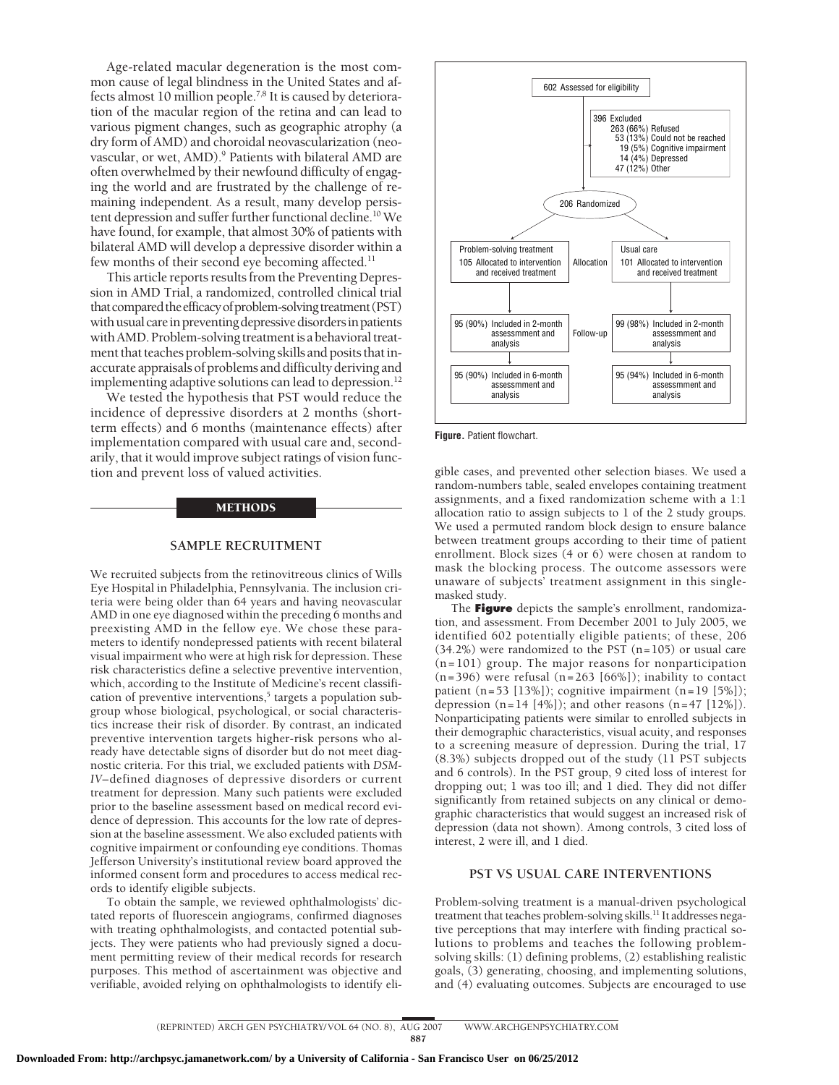Age-related macular degeneration is the most common cause of legal blindness in the United States and affects almost 10 million people.7,8 It is caused by deterioration of the macular region of the retina and can lead to various pigment changes, such as geographic atrophy (a dry form of AMD) and choroidal neovascularization (neovascular, or wet, AMD).<sup>9</sup> Patients with bilateral AMD are often overwhelmed by their newfound difficulty of engaging the world and are frustrated by the challenge of remaining independent. As a result, many develop persistent depression and suffer further functional decline.10 We have found, for example, that almost 30% of patients with bilateral AMD will develop a depressive disorder within a few months of their second eye becoming affected.<sup>11</sup>

This article reports results from the Preventing Depression in AMD Trial, a randomized, controlled clinical trial that compared the efficacy of problem-solving treatment (PST) with usual care in preventing depressive disorders in patients with AMD. Problem-solving treatment is a behavioral treatment that teaches problem-solving skills and posits that inaccurate appraisals of problems and difficulty deriving and implementing adaptive solutions can lead to depression.<sup>12</sup>

We tested the hypothesis that PST would reduce the incidence of depressive disorders at 2 months (shortterm effects) and 6 months (maintenance effects) after implementation compared with usual care and, secondarily, that it would improve subject ratings of vision function and prevent loss of valued activities.

# METHODS

#### **SAMPLE RECRUITMENT**

We recruited subjects from the retinovitreous clinics of Wills Eye Hospital in Philadelphia, Pennsylvania. The inclusion criteria were being older than 64 years and having neovascular AMD in one eye diagnosed within the preceding 6 months and preexisting AMD in the fellow eye. We chose these parameters to identify nondepressed patients with recent bilateral visual impairment who were at high risk for depression. These risk characteristics define a selective preventive intervention, which, according to the Institute of Medicine's recent classification of preventive interventions,<sup>5</sup> targets a population subgroup whose biological, psychological, or social characteristics increase their risk of disorder. By contrast, an indicated preventive intervention targets higher-risk persons who already have detectable signs of disorder but do not meet diagnostic criteria. For this trial, we excluded patients with *DSM-IV*–defined diagnoses of depressive disorders or current treatment for depression. Many such patients were excluded prior to the baseline assessment based on medical record evidence of depression. This accounts for the low rate of depression at the baseline assessment. We also excluded patients with cognitive impairment or confounding eye conditions. Thomas Jefferson University's institutional review board approved the informed consent form and procedures to access medical records to identify eligible subjects.

To obtain the sample, we reviewed ophthalmologists' dictated reports of fluorescein angiograms, confirmed diagnoses with treating ophthalmologists, and contacted potential subjects. They were patients who had previously signed a document permitting review of their medical records for research purposes. This method of ascertainment was objective and verifiable, avoided relying on ophthalmologists to identify eli-



**Figure.** Patient flowchart.

gible cases, and prevented other selection biases. We used a random-numbers table, sealed envelopes containing treatment assignments, and a fixed randomization scheme with a 1:1 allocation ratio to assign subjects to 1 of the 2 study groups. We used a permuted random block design to ensure balance between treatment groups according to their time of patient enrollment. Block sizes (4 or 6) were chosen at random to mask the blocking process. The outcome assessors were unaware of subjects' treatment assignment in this singlemasked study.

The **Figure** depicts the sample's enrollment, randomization, and assessment. From December 2001 to July 2005, we identified 602 potentially eligible patients; of these, 206 (34.2%) were randomized to the PST (n=105) or usual care (n=101) group. The major reasons for nonparticipation  $(n=396)$  were refusal  $(n=263 \mid 66\%)$ ; inability to contact patient  $(n=53 \mid 13\%)$ ; cognitive impairment  $(n=19 \mid 5\%)$ ; depression  $(n=14 [4\%])$ ; and other reasons  $(n=47 [12\%])$ . Nonparticipating patients were similar to enrolled subjects in their demographic characteristics, visual acuity, and responses to a screening measure of depression. During the trial, 17 (8.3%) subjects dropped out of the study (11 PST subjects and 6 controls). In the PST group, 9 cited loss of interest for dropping out; 1 was too ill; and 1 died. They did not differ significantly from retained subjects on any clinical or demographic characteristics that would suggest an increased risk of depression (data not shown). Among controls, 3 cited loss of interest, 2 were ill, and 1 died.

# **PST VS USUAL CARE INTERVENTIONS**

Problem-solving treatment is a manual-driven psychological treatment that teaches problem-solving skills.<sup>11</sup> It addresses negative perceptions that may interfere with finding practical solutions to problems and teaches the following problemsolving skills: (1) defining problems, (2) establishing realistic goals, (3) generating, choosing, and implementing solutions, and (4) evaluating outcomes. Subjects are encouraged to use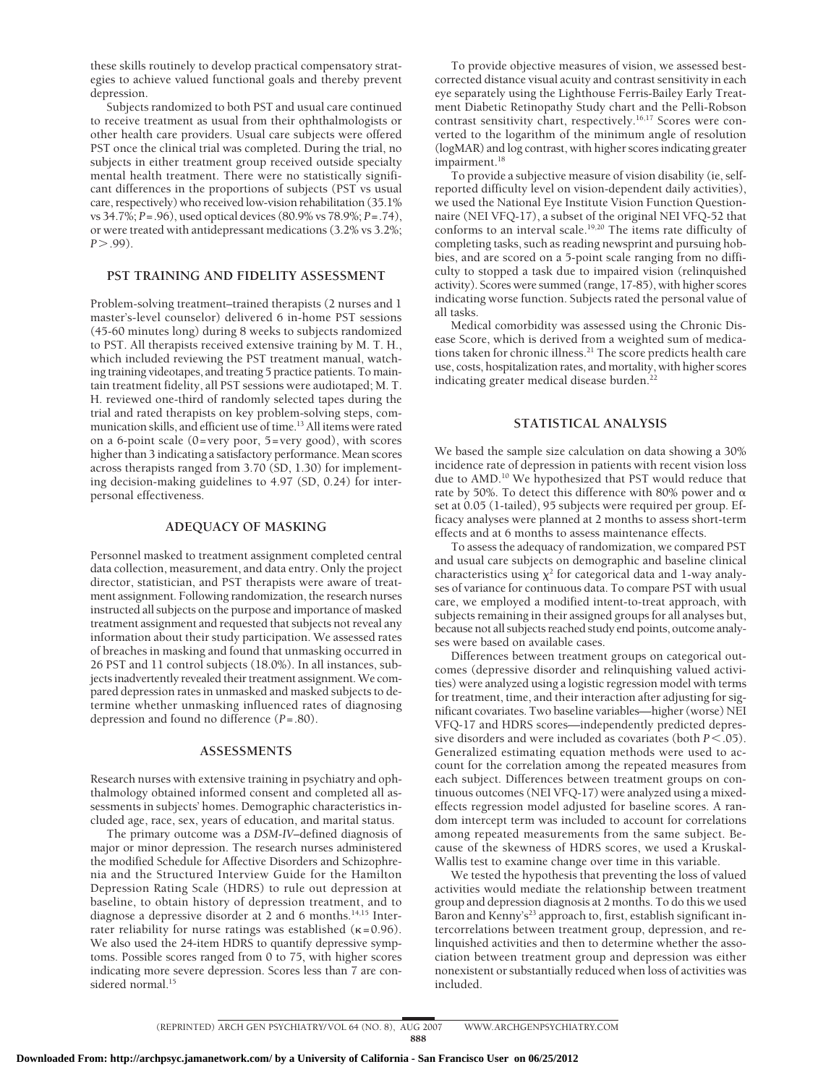these skills routinely to develop practical compensatory strategies to achieve valued functional goals and thereby prevent depression.

Subjects randomized to both PST and usual care continued to receive treatment as usual from their ophthalmologists or other health care providers. Usual care subjects were offered PST once the clinical trial was completed. During the trial, no subjects in either treatment group received outside specialty mental health treatment. There were no statistically significant differences in the proportions of subjects (PST vs usual care, respectively) who received low-vision rehabilitation (35.1% vs 34.7%; *P*=.96), used optical devices (80.9% vs 78.9%; *P*=.74), or were treated with antidepressant medications (3.2% vs 3.2%; *P*-.99).

# **PST TRAINING AND FIDELITY ASSESSMENT**

Problem-solving treatment–trained therapists (2 nurses and 1 master's-level counselor) delivered 6 in-home PST sessions (45-60 minutes long) during 8 weeks to subjects randomized to PST. All therapists received extensive training by M. T. H., which included reviewing the PST treatment manual, watching training videotapes, and treating 5 practice patients. To maintain treatment fidelity, all PST sessions were audiotaped; M. T. H. reviewed one-third of randomly selected tapes during the trial and rated therapists on key problem-solving steps, communication skills, and efficient use of time.<sup>13</sup> All items were rated on a 6-point scale (0=very poor, 5=very good), with scores higher than 3 indicating a satisfactory performance. Mean scores across therapists ranged from 3.70 (SD, 1.30) for implementing decision-making guidelines to 4.97 (SD, 0.24) for interpersonal effectiveness.

# **ADEQUACY OF MASKING**

Personnel masked to treatment assignment completed central data collection, measurement, and data entry. Only the project director, statistician, and PST therapists were aware of treatment assignment. Following randomization, the research nurses instructed all subjects on the purpose and importance of masked treatment assignment and requested that subjects not reveal any information about their study participation. We assessed rates of breaches in masking and found that unmasking occurred in 26 PST and 11 control subjects (18.0%). In all instances, subjects inadvertently revealed their treatment assignment. We compared depression rates in unmasked and masked subjects to determine whether unmasking influenced rates of diagnosing depression and found no difference (*P*=.80).

#### **ASSESSMENTS**

Research nurses with extensive training in psychiatry and ophthalmology obtained informed consent and completed all assessments in subjects' homes. Demographic characteristics included age, race, sex, years of education, and marital status.

The primary outcome was a *DSM-IV*–defined diagnosis of major or minor depression. The research nurses administered the modified Schedule for Affective Disorders and Schizophrenia and the Structured Interview Guide for the Hamilton Depression Rating Scale (HDRS) to rule out depression at baseline, to obtain history of depression treatment, and to diagnose a depressive disorder at 2 and 6 months.<sup>14,15</sup> Interrater reliability for nurse ratings was established ( $\kappa$ =0.96). We also used the 24-item HDRS to quantify depressive symptoms. Possible scores ranged from 0 to 75, with higher scores indicating more severe depression. Scores less than 7 are considered normal.<sup>15</sup>

To provide objective measures of vision, we assessed bestcorrected distance visual acuity and contrast sensitivity in each eye separately using the Lighthouse Ferris-Bailey Early Treatment Diabetic Retinopathy Study chart and the Pelli-Robson contrast sensitivity chart, respectively.16,17 Scores were converted to the logarithm of the minimum angle of resolution (logMAR) and log contrast, with higher scores indicating greater impairment.<sup>18</sup>

To provide a subjective measure of vision disability (ie, selfreported difficulty level on vision-dependent daily activities), we used the National Eye Institute Vision Function Questionnaire (NEI VFQ-17), a subset of the original NEI VFQ-52 that conforms to an interval scale.<sup>19,20</sup> The items rate difficulty of completing tasks, such as reading newsprint and pursuing hobbies, and are scored on a 5-point scale ranging from no difficulty to stopped a task due to impaired vision (relinquished activity). Scores were summed (range, 17-85), with higher scores indicating worse function. Subjects rated the personal value of all tasks.

Medical comorbidity was assessed using the Chronic Disease Score, which is derived from a weighted sum of medications taken for chronic illness.<sup>21</sup> The score predicts health care use, costs, hospitalization rates, and mortality, with higher scores indicating greater medical disease burden.<sup>22</sup>

# **STATISTICAL ANALYSIS**

We based the sample size calculation on data showing a 30% incidence rate of depression in patients with recent vision loss due to AMD.<sup>10</sup> We hypothesized that PST would reduce that rate by 50%. To detect this difference with 80% power and  $\alpha$ set at 0.05 (1-tailed), 95 subjects were required per group. Efficacy analyses were planned at 2 months to assess short-term effects and at 6 months to assess maintenance effects.

To assess the adequacy of randomization, we compared PST and usual care subjects on demographic and baseline clinical characteristics using  $\chi^2$  for categorical data and 1-way analyses of variance for continuous data. To compare PST with usual care, we employed a modified intent-to-treat approach, with subjects remaining in their assigned groups for all analyses but, because not all subjects reached study end points, outcome analyses were based on available cases.

Differences between treatment groups on categorical outcomes (depressive disorder and relinquishing valued activities) were analyzed using a logistic regression model with terms for treatment, time, and their interaction after adjusting for significant covariates. Two baseline variables—higher (worse) NEI VFQ-17 and HDRS scores—independently predicted depressive disorders and were included as covariates (both *P*<.05). Generalized estimating equation methods were used to account for the correlation among the repeated measures from each subject. Differences between treatment groups on continuous outcomes (NEI VFQ-17) were analyzed using a mixedeffects regression model adjusted for baseline scores. A random intercept term was included to account for correlations among repeated measurements from the same subject. Because of the skewness of HDRS scores, we used a Kruskal-Wallis test to examine change over time in this variable.

We tested the hypothesis that preventing the loss of valued activities would mediate the relationship between treatment group and depression diagnosis at 2 months. To do this we used Baron and Kenny's<sup>23</sup> approach to, first, establish significant intercorrelations between treatment group, depression, and relinquished activities and then to determine whether the association between treatment group and depression was either nonexistent or substantially reduced when loss of activities was included.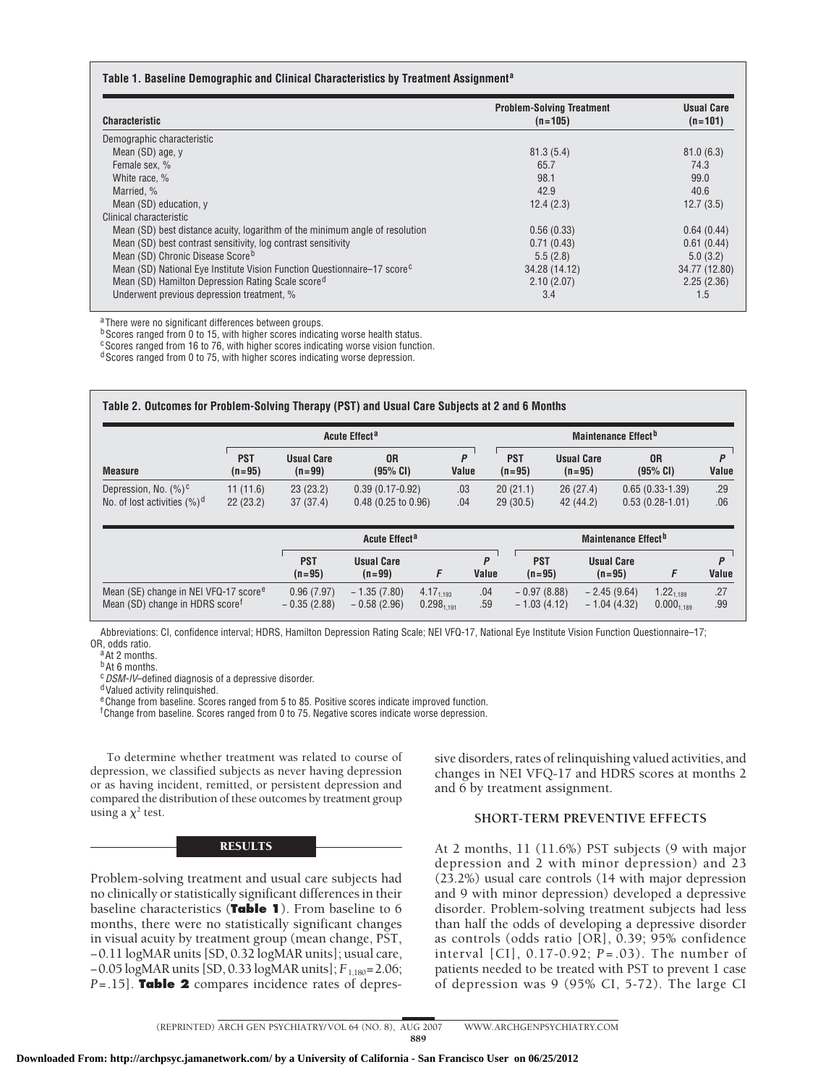| Table 1. Baseline Demographic and Clinical Characteristics by Treatment Assignment <sup>a</sup> |  |
|-------------------------------------------------------------------------------------------------|--|
|-------------------------------------------------------------------------------------------------|--|

| <b>Characteristic</b>                                                                | <b>Problem-Solving Treatment</b><br>$(n=105)$ | <b>Usual Care</b><br>$(n=101)$ |
|--------------------------------------------------------------------------------------|-----------------------------------------------|--------------------------------|
| Demographic characteristic                                                           |                                               |                                |
| Mean (SD) age, y                                                                     | 81.3(5.4)                                     | 81.0(6.3)                      |
| Female sex, %                                                                        | 65.7                                          | 74.3                           |
| White race, %                                                                        | 98.1                                          | 99.0                           |
| Married, %                                                                           | 42.9                                          | 40.6                           |
| Mean (SD) education, y                                                               | 12.4(2.3)                                     | 12.7(3.5)                      |
| Clinical characteristic                                                              |                                               |                                |
| Mean (SD) best distance acuity, logarithm of the minimum angle of resolution         | 0.56(0.33)                                    | 0.64(0.44)                     |
| Mean (SD) best contrast sensitivity, log contrast sensitivity                        | 0.71(0.43)                                    | 0.61(0.44)                     |
| Mean (SD) Chronic Disease Score <sup>b</sup>                                         | 5.5(2.8)                                      | 5.0(3.2)                       |
| Mean (SD) National Eye Institute Vision Function Questionnaire–17 score <sup>c</sup> | 34.28 (14.12)                                 | 34.77 (12.80)                  |
| Mean (SD) Hamilton Depression Rating Scale score <sup>d</sup>                        | 2.10(2.07)                                    | 2.25(2.36)                     |
| Underwent previous depression treatment, %                                           | 3.4                                           | 1.5                            |

aThere were no significant differences between groups.

**bScores ranged from 0 to 15, with higher scores indicating worse health status.** 

<sup>c</sup>Scores ranged from 16 to 76, with higher scores indicating worse vision function.

d Scores ranged from 0 to 75, with higher scores indicating worse depression.

|                                 |                        | Acute Effect <sup>a</sup>       |                       |            | Maintenance Effect <sup>b</sup> |                               |                            |            |
|---------------------------------|------------------------|---------------------------------|-----------------------|------------|---------------------------------|-------------------------------|----------------------------|------------|
| <b>Measure</b>                  | <b>PST</b><br>$(n=95)$ | <b>Usual Care</b><br>$(n = 99)$ | 0R<br>(95% CI)        | P<br>Value | <b>PST</b><br>$(n=95)$          | <b>Usual Care</b><br>$(n=95)$ | 0 <sub>R</sub><br>(95% CI) | P<br>Value |
| Depression, No. $(\%)^c$        | 11(11.6)               | 23(23.2)                        | $0.39(0.17-0.92)$     | .03        | 20(21.1)                        | 26(27.4)                      | $0.65(0.33-1.39)$          | .29        |
| No. of lost activities $(\%)^d$ | 22(23.2)               | 37(37.4)                        | $0.48$ (0.25 to 0.96) | .04        | 29(30.5)                        | 42 (44.2)                     | $0.53(0.28-1.01)$          | .06        |

|                                                                                                  |                             | Acute Effect <sup>a</sup>       |                                          |            |                                | Maintenance Effect"            |                                            |            |
|--------------------------------------------------------------------------------------------------|-----------------------------|---------------------------------|------------------------------------------|------------|--------------------------------|--------------------------------|--------------------------------------------|------------|
|                                                                                                  | <b>PST</b><br>$(n=95)$      | <b>Usual Care</b><br>$(n = 99)$ |                                          | Value      | <b>PST</b><br>$(n=95)$         | <b>Usual Care</b><br>$(n=95)$  |                                            | Value      |
| Mean (SE) change in NEI VFQ-17 score <sup>e</sup><br>Mean (SD) change in HDRS score <sup>t</sup> | 0.96(7.97)<br>$-0.35(2.88)$ | $-1.35(7.80)$<br>$-0.58(2.96)$  | $4.17_{1.193}$<br>0.298 <sub>1.191</sub> | .04<br>.59 | $-0.97(8.88)$<br>$-1.03(4.12)$ | $-2.45(9.64)$<br>$-1.04(4.32)$ | $1.22_{1.189}$<br>$0.000$ <sub>1,189</sub> | .27<br>.99 |

Abbreviations: CI, confidence interval; HDRS, Hamilton Depression Rating Scale; NEI VFQ-17, National Eye Institute Vision Function Questionnaire–17;

 $a$ At 2 months.

b<sub>At 6</sub> months.

<sup>c</sup> DSM-IV–defined diagnosis of a depressive disorder.<br><sup>d</sup>Valued activity relinquished.

<sup>e</sup> Change from baseline. Scores ranged from 5 to 85. Positive scores indicate improved function.

<sup>f</sup> Change from baseline. Scores ranged from 0 to 75. Negative scores indicate worse depression.

To determine whether treatment was related to course of depression, we classified subjects as never having depression or as having incident, remitted, or persistent depression and compared the distribution of these outcomes by treatment group using a  $\chi^2$  test.

# **RESULTS**

Problem-solving treatment and usual care subjects had no clinically or statistically significant differences in their baseline characteristics (**Table 1**). From baseline to 6 months, there were no statistically significant changes in visual acuity by treatment group (mean change, PST, −0.11 logMAR units [SD, 0.32 logMAR units]; usual care, −0.05 logMAR units [SD, 0.33 logMAR units]; *F*1,180=2.06; *P*=.15]. **Table 2** compares incidence rates of depressive disorders, rates of relinquishing valued activities, and changes in NEI VFQ-17 and HDRS scores at months 2 and 6 by treatment assignment.

# **SHORT-TERM PREVENTIVE EFFECTS**

At 2 months, 11 (11.6%) PST subjects (9 with major depression and 2 with minor depression) and 23 (23.2%) usual care controls (14 with major depression and 9 with minor depression) developed a depressive disorder. Problem-solving treatment subjects had less than half the odds of developing a depressive disorder as controls (odds ratio [OR], 0.39; 95% confidence interval [CI], 0.17-0.92; *P* =.03). The number of patients needed to be treated with PST to prevent 1 case of depression was 9 (95% CI, 5-72). The large CI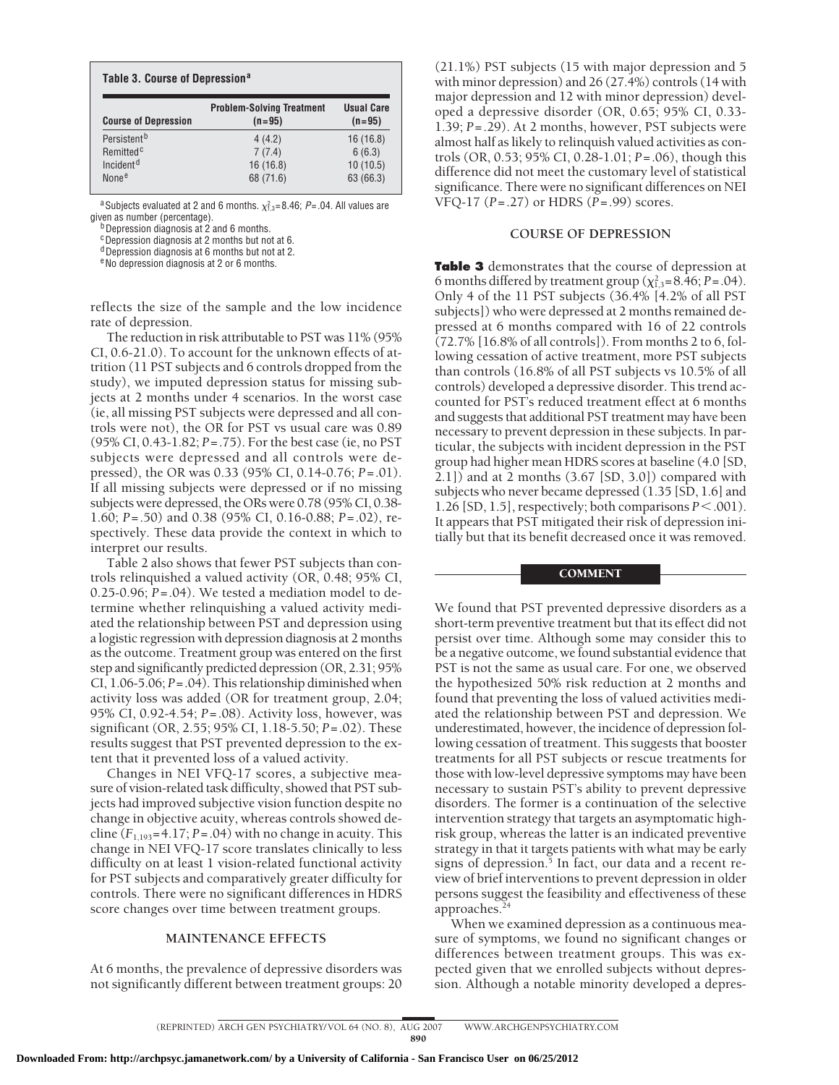| Table 3. Course of Depression <sup>a</sup> |                                              |                               |  |  |  |
|--------------------------------------------|----------------------------------------------|-------------------------------|--|--|--|
| <b>Course of Depression</b>                | <b>Problem-Solving Treatment</b><br>$(n=95)$ | <b>Usual Care</b><br>$(n=95)$ |  |  |  |
| Persistent <sup>b</sup>                    | 4(4.2)                                       | 16(16.8)                      |  |  |  |
| Remitted <sup>c</sup>                      | 7(7.4)                                       | 6(6.3)                        |  |  |  |
| Incident <sup>d</sup>                      | 16(16.8)                                     | 10(10.5)                      |  |  |  |
| None <sup>e</sup>                          | 68 (71.6)                                    | 63 (66.3)                     |  |  |  |

<sup>a</sup>Subjects evaluated at 2 and 6 months.  $\chi_{1,3}^2 = 8.46$ ; *P*=.04. All values are given as number (percentage).<br> $b$ Depression diagnosis at 2 and 6 months.

cDepression diagnosis at 2 months but not at 6.

<sup>d</sup> Depression diagnosis at 6 months but not at 2.

eNo depression diagnosis at 2 or 6 months.

reflects the size of the sample and the low incidence rate of depression.

The reduction in risk attributable to PST was 11% (95% CI, 0.6-21.0). To account for the unknown effects of attrition (11 PST subjects and 6 controls dropped from the study), we imputed depression status for missing subjects at 2 months under 4 scenarios. In the worst case (ie, all missing PST subjects were depressed and all controls were not), the OR for PST vs usual care was 0.89 (95% CI, 0.43-1.82; *P*=.75). For the best case (ie, no PST subjects were depressed and all controls were depressed), the OR was 0.33 (95% CI, 0.14-0.76; *P*=.01). If all missing subjects were depressed or if no missing subjects were depressed, the ORs were 0.78 (95% CI, 0.38- 1.60; *P*=.50) and 0.38 (95% CI, 0.16-0.88; *P*=.02), respectively. These data provide the context in which to interpret our results.

Table 2 also shows that fewer PST subjects than controls relinquished a valued activity (OR, 0.48; 95% CI, 0.25-0.96; *P*=.04). We tested a mediation model to determine whether relinquishing a valued activity mediated the relationship between PST and depression using a logistic regression with depression diagnosis at 2 months as the outcome. Treatment group was entered on the first step and significantly predicted depression (OR, 2.31; 95% CI, 1.06-5.06; *P*=.04). This relationship diminished when activity loss was added (OR for treatment group, 2.04; 95% CI, 0.92-4.54; *P*=.08). Activity loss, however, was significant (OR, 2.55; 95% CI, 1.18-5.50; *P*=.02). These results suggest that PST prevented depression to the extent that it prevented loss of a valued activity.

Changes in NEI VFQ-17 scores, a subjective measure of vision-related task difficulty, showed that PST subjects had improved subjective vision function despite no change in objective acuity, whereas controls showed decline  $(F_{1,193}=4.17; P=.04)$  with no change in acuity. This change in NEI VFQ-17 score translates clinically to less difficulty on at least 1 vision-related functional activity for PST subjects and comparatively greater difficulty for controls. There were no significant differences in HDRS score changes over time between treatment groups.

# **MAINTENANCE EFFECTS**

At 6 months, the prevalence of depressive disorders was not significantly different between treatment groups: 20

(21.1%) PST subjects (15 with major depression and 5 with minor depression) and 26 (27.4%) controls (14 with major depression and 12 with minor depression) developed a depressive disorder (OR, 0.65; 95% CI, 0.33- 1.39; *P*=.29). At 2 months, however, PST subjects were almost half as likely to relinquish valued activities as controls (OR, 0.53; 95% CI, 0.28-1.01; *P*=.06), though this difference did not meet the customary level of statistical significance. There were no significant differences on NEI VFQ-17 (*P*=.27) or HDRS (*P*=.99) scores.

# **COURSE OF DEPRESSION**

**Table 3** demonstrates that the course of depression at 6 months differed by treatment group  $(\chi^2_{1,3}=8.46; P=.04)$ . Only 4 of the 11 PST subjects (36.4% [4.2% of all PST subjects]) who were depressed at 2 months remained depressed at 6 months compared with 16 of 22 controls (72.7% [16.8% of all controls]). From months 2 to 6, following cessation of active treatment, more PST subjects than controls (16.8% of all PST subjects vs 10.5% of all controls) developed a depressive disorder. This trend accounted for PST's reduced treatment effect at 6 months and suggests that additional PST treatment may have been necessary to prevent depression in these subjects. In particular, the subjects with incident depression in the PST group had higher mean HDRS scores at baseline (4.0 [SD, 2.1]) and at 2 months (3.67 [SD, 3.0]) compared with subjects who never became depressed (1.35 [SD, 1.6] and 1.26 [SD, 1.5], respectively; both comparisons  $P < 0.001$ . It appears that PST mitigated their risk of depression initially but that its benefit decreased once it was removed.

# **COMMENT**

We found that PST prevented depressive disorders as a short-term preventive treatment but that its effect did not persist over time. Although some may consider this to be a negative outcome, we found substantial evidence that PST is not the same as usual care. For one, we observed the hypothesized 50% risk reduction at 2 months and found that preventing the loss of valued activities mediated the relationship between PST and depression. We underestimated, however, the incidence of depression following cessation of treatment. This suggests that booster treatments for all PST subjects or rescue treatments for those with low-level depressive symptoms may have been necessary to sustain PST's ability to prevent depressive disorders. The former is a continuation of the selective intervention strategy that targets an asymptomatic highrisk group, whereas the latter is an indicated preventive strategy in that it targets patients with what may be early signs of depression.<sup>5</sup> In fact, our data and a recent review of brief interventions to prevent depression in older persons suggest the feasibility and effectiveness of these approaches.<sup>24</sup>

When we examined depression as a continuous measure of symptoms, we found no significant changes or differences between treatment groups. This was expected given that we enrolled subjects without depression. Although a notable minority developed a depres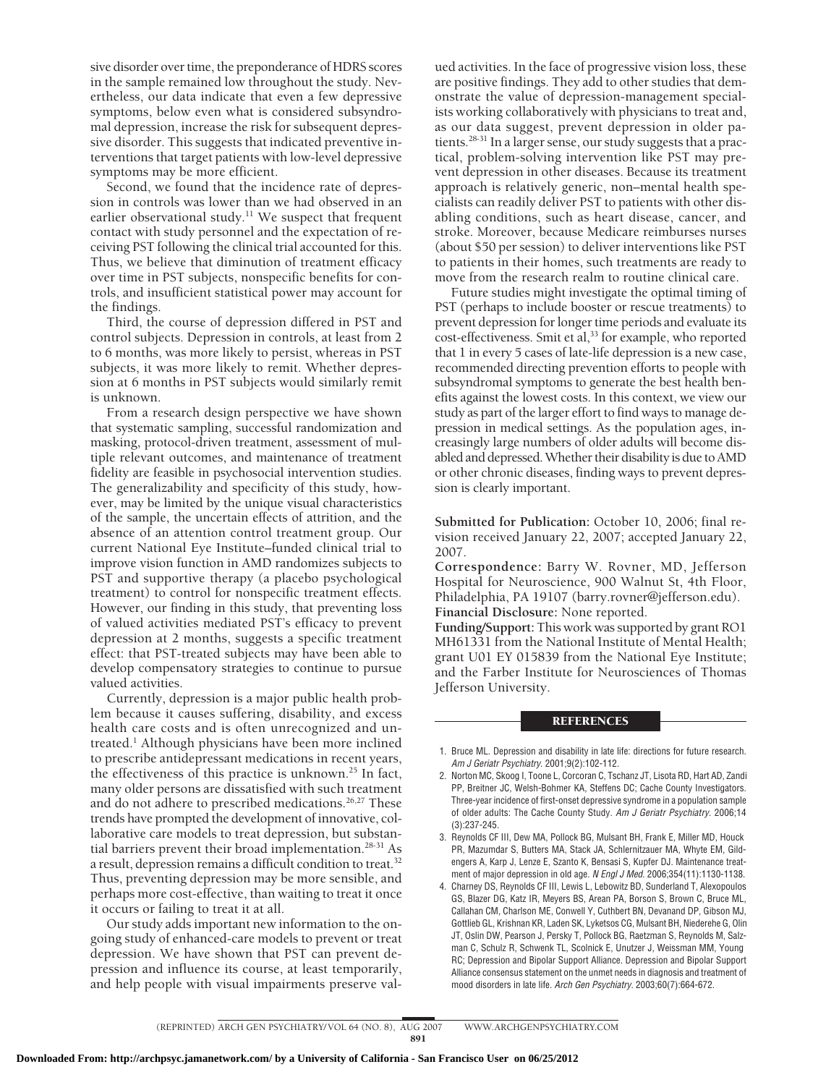sive disorder over time, the preponderance of HDRS scores in the sample remained low throughout the study. Nevertheless, our data indicate that even a few depressive symptoms, below even what is considered subsyndromal depression, increase the risk for subsequent depressive disorder. This suggests that indicated preventive interventions that target patients with low-level depressive symptoms may be more efficient.

Second, we found that the incidence rate of depression in controls was lower than we had observed in an earlier observational study.<sup>11</sup> We suspect that frequent contact with study personnel and the expectation of receiving PST following the clinical trial accounted for this. Thus, we believe that diminution of treatment efficacy over time in PST subjects, nonspecific benefits for controls, and insufficient statistical power may account for the findings.

Third, the course of depression differed in PST and control subjects. Depression in controls, at least from 2 to 6 months, was more likely to persist, whereas in PST subjects, it was more likely to remit. Whether depression at 6 months in PST subjects would similarly remit is unknown.

From a research design perspective we have shown that systematic sampling, successful randomization and masking, protocol-driven treatment, assessment of multiple relevant outcomes, and maintenance of treatment fidelity are feasible in psychosocial intervention studies. The generalizability and specificity of this study, however, may be limited by the unique visual characteristics of the sample, the uncertain effects of attrition, and the absence of an attention control treatment group. Our current National Eye Institute–funded clinical trial to improve vision function in AMD randomizes subjects to PST and supportive therapy (a placebo psychological treatment) to control for nonspecific treatment effects. However, our finding in this study, that preventing loss of valued activities mediated PST's efficacy to prevent depression at 2 months, suggests a specific treatment effect: that PST-treated subjects may have been able to develop compensatory strategies to continue to pursue valued activities.

Currently, depression is a major public health problem because it causes suffering, disability, and excess health care costs and is often unrecognized and untreated.<sup>1</sup> Although physicians have been more inclined to prescribe antidepressant medications in recent years, the effectiveness of this practice is unknown.<sup>25</sup> In fact, many older persons are dissatisfied with such treatment and do not adhere to prescribed medications.<sup>26,27</sup> These trends have prompted the development of innovative, collaborative care models to treat depression, but substantial barriers prevent their broad implementation.28-31 As a result, depression remains a difficult condition to treat.<sup>32</sup> Thus, preventing depression may be more sensible, and perhaps more cost-effective, than waiting to treat it once it occurs or failing to treat it at all.

Our study adds important new information to the ongoing study of enhanced-care models to prevent or treat depression. We have shown that PST can prevent depression and influence its course, at least temporarily, and help people with visual impairments preserve valued activities. In the face of progressive vision loss, these are positive findings. They add to other studies that demonstrate the value of depression-management specialists working collaboratively with physicians to treat and, as our data suggest, prevent depression in older patients.<sup>28-31</sup> In a larger sense, our study suggests that a practical, problem-solving intervention like PST may prevent depression in other diseases. Because its treatment approach is relatively generic, non–mental health specialists can readily deliver PST to patients with other disabling conditions, such as heart disease, cancer, and stroke. Moreover, because Medicare reimburses nurses (about \$50 per session) to deliver interventions like PST to patients in their homes, such treatments are ready to move from the research realm to routine clinical care.

Future studies might investigate the optimal timing of PST (perhaps to include booster or rescue treatments) to prevent depression for longer time periods and evaluate its cost-effectiveness. Smit et al,<sup>33</sup> for example, who reported that 1 in every 5 cases of late-life depression is a new case, recommended directing prevention efforts to people with subsyndromal symptoms to generate the best health benefits against the lowest costs. In this context, we view our study as part of the larger effort to find ways to manage depression in medical settings. As the population ages, increasingly large numbers of older adults will become disabled and depressed. Whether their disability is due to AMD or other chronic diseases, finding ways to prevent depression is clearly important.

**Submitted for Publication:** October 10, 2006; final revision received January 22, 2007; accepted January 22, 2007.

**Correspondence:** Barry W. Rovner, MD, Jefferson Hospital for Neuroscience, 900 Walnut St, 4th Floor, Philadelphia, PA 19107 (barry.rovner@jefferson.edu). **Financial Disclosure:** None reported.

**Funding/Support:** This work was supported by grant RO1 MH61331 from the National Institute of Mental Health; grant U01 EY 015839 from the National Eye Institute; and the Farber Institute for Neurosciences of Thomas Jefferson University.

# **REFERENCES**

- 1. Bruce ML. Depression and disability in late life: directions for future research. *Am J Geriatr Psychiatry*. 2001;9(2):102-112.
- 2. Norton MC, Skoog I, Toone L, Corcoran C, Tschanz JT, Lisota RD, Hart AD, Zandi PP, Breitner JC, Welsh-Bohmer KA, Steffens DC; Cache County Investigators. Three-year incidence of first-onset depressive syndrome in a population sample of older adults: The Cache County Study. *Am J Geriatr Psychiatry*. 2006;14 (3):237-245.
- 3. Reynolds CF III, Dew MA, Pollock BG, Mulsant BH, Frank E, Miller MD, Houck PR, Mazumdar S, Butters MA, Stack JA, Schlernitzauer MA, Whyte EM, Gildengers A, Karp J, Lenze E, Szanto K, Bensasi S, Kupfer DJ. Maintenance treatment of major depression in old age. *N Engl J Med*. 2006;354(11):1130-1138.
- 4. Charney DS, Reynolds CF III, Lewis L, Lebowitz BD, Sunderland T, Alexopoulos GS, Blazer DG, Katz IR, Meyers BS, Arean PA, Borson S, Brown C, Bruce ML, Callahan CM, Charlson ME, Conwell Y, Cuthbert BN, Devanand DP, Gibson MJ, Gottlieb GL, Krishnan KR, Laden SK, Lyketsos CG, Mulsant BH, Niederehe G, Olin JT, Oslin DW, Pearson J, Persky T, Pollock BG, Raetzman S, Reynolds M, Salzman C, Schulz R, Schwenk TL, Scolnick E, Unutzer J, Weissman MM, Young RC; Depression and Bipolar Support Alliance. Depression and Bipolar Support Alliance consensus statement on the unmet needs in diagnosis and treatment of mood disorders in late life. *Arch Gen Psychiatry*. 2003;60(7):664-672.